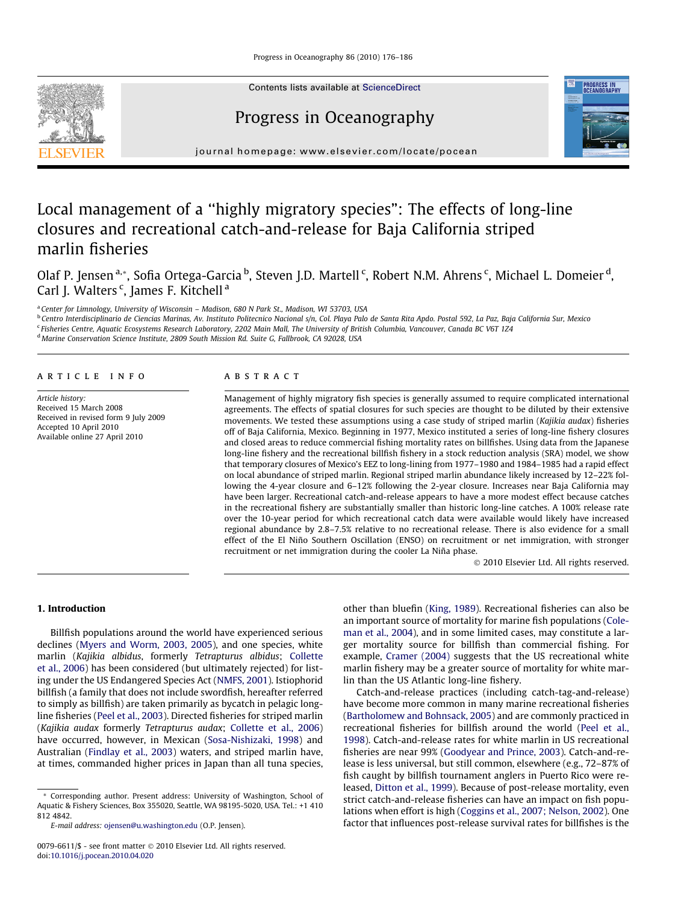

Contents lists available at [ScienceDirect](http://www.sciencedirect.com/science/journal/00796611)

# Progress in Oceanography



journal homepage: [www.elsevier.com/locate/pocean](http://www.elsevier.com/locate/pocean)

# Local management of a ''highly migratory species": The effects of long-line closures and recreational catch-and-release for Baja California striped marlin fisheries

Olaf P. Jensen <sup>a,</sup>\*, Sofia Ortega-Garcia <sup>b</sup>, Steven J.D. Martell <sup>c</sup>, Robert N.M. Ahrens <sup>c</sup>, Michael L. Domeier <sup>d</sup>, Carl J. Walters<sup>c</sup>, James F. Kitchell<sup>a</sup>

<sup>a</sup> Center for Limnology, University of Wisconsin - Madison, 680 N Park St., Madison, WI 53703, USA

<sup>b</sup> Centro Interdisciplinario de Ciencias Marinas, Av. Instituto Politecnico Nacional s/n, Col. Playa Palo de Santa Rita Apdo. Postal 592, La Paz, Baja California Sur, Mexico

<sup>c</sup> Fisheries Centre, Aquatic Ecosystems Research Laboratory, 2202 Main Mall, The University of British Columbia, Vancouver, Canada BC V6T 1Z4

<sup>d</sup> Marine Conservation Science Institute, 2809 South Mission Rd. Suite G, Fallbrook, CA 92028, USA

#### article info

Article history: Received 15 March 2008 Received in revised form 9 July 2009 Accepted 10 April 2010 Available online 27 April 2010

## ABSTRACT

Management of highly migratory fish species is generally assumed to require complicated international agreements. The effects of spatial closures for such species are thought to be diluted by their extensive movements. We tested these assumptions using a case study of striped marlin (Kajikia audax) fisheries off of Baja California, Mexico. Beginning in 1977, Mexico instituted a series of long-line fishery closures and closed areas to reduce commercial fishing mortality rates on billfishes. Using data from the Japanese long-line fishery and the recreational billfish fishery in a stock reduction analysis (SRA) model, we show that temporary closures of Mexico's EEZ to long-lining from 1977–1980 and 1984–1985 had a rapid effect on local abundance of striped marlin. Regional striped marlin abundance likely increased by 12–22% following the 4-year closure and 6–12% following the 2-year closure. Increases near Baja California may have been larger. Recreational catch-and-release appears to have a more modest effect because catches in the recreational fishery are substantially smaller than historic long-line catches. A 100% release rate over the 10-year period for which recreational catch data were available would likely have increased regional abundance by 2.8–7.5% relative to no recreational release. There is also evidence for a small effect of the El Niño Southern Oscillation (ENSO) on recruitment or net immigration, with stronger recruitment or net immigration during the cooler La Niña phase.

- 2010 Elsevier Ltd. All rights reserved.

## 1. Introduction

Billfish populations around the world have experienced serious declines [\(Myers and Worm, 2003, 2005\)](#page-10-0), and one species, white marlin (Kajikia albidus, formerly Tetrapturus albidus; [Collette](#page-9-0) [et al., 2006\)](#page-9-0) has been considered (but ultimately rejected) for listing under the US Endangered Species Act ([NMFS, 2001\)](#page-10-0). Istiophorid billfish (a family that does not include swordfish, hereafter referred to simply as billfish) are taken primarily as bycatch in pelagic longline fisheries [\(Peel et al., 2003](#page-10-0)). Directed fisheries for striped marlin (Kajikia audax formerly Tetrapturus audax; [Collette et al., 2006\)](#page-9-0) have occurred, however, in Mexican ([Sosa-Nishizaki, 1998\)](#page-10-0) and Australian ([Findlay et al., 2003\)](#page-9-0) waters, and striped marlin have, at times, commanded higher prices in Japan than all tuna species,

\* Corresponding author. Present address: University of Washington, School of Aquatic & Fishery Sciences, Box 355020, Seattle, WA 98195-5020, USA. Tel.: +1 410 812 4842.

E-mail address: [ojensen@u.washington.edu](mailto:ojensen@u.washington.edu) (O.P. Jensen).

other than bluefin [\(King, 1989\)](#page-10-0). Recreational fisheries can also be an important source of mortality for marine fish populations [\(Cole](#page-9-0)[man et al., 2004\)](#page-9-0), and in some limited cases, may constitute a larger mortality source for billfish than commercial fishing. For example, [Cramer \(2004\)](#page-9-0) suggests that the US recreational white marlin fishery may be a greater source of mortality for white marlin than the US Atlantic long-line fishery.

Catch-and-release practices (including catch-tag-and-release) have become more common in many marine recreational fisheries ([Bartholomew and Bohnsack, 2005\)](#page-9-0) and are commonly practiced in recreational fisheries for billfish around the world [\(Peel et al.,](#page-10-0) [1998\)](#page-10-0). Catch-and-release rates for white marlin in US recreational fisheries are near 99% [\(Goodyear and Prince, 2003\)](#page-9-0). Catch-and-release is less universal, but still common, elsewhere (e.g., 72–87% of fish caught by billfish tournament anglers in Puerto Rico were released, [Ditton et al., 1999\)](#page-9-0). Because of post-release mortality, even strict catch-and-release fisheries can have an impact on fish populations when effort is high ([Coggins et al., 2007; Nelson, 2002\)](#page-9-0). One factor that influences post-release survival rates for billfishes is the

<sup>0079-6611/\$ -</sup> see front matter © 2010 Elsevier Ltd. All rights reserved. doi:[10.1016/j.pocean.2010.04.020](http://dx.doi.org/10.1016/j.pocean.2010.04.020)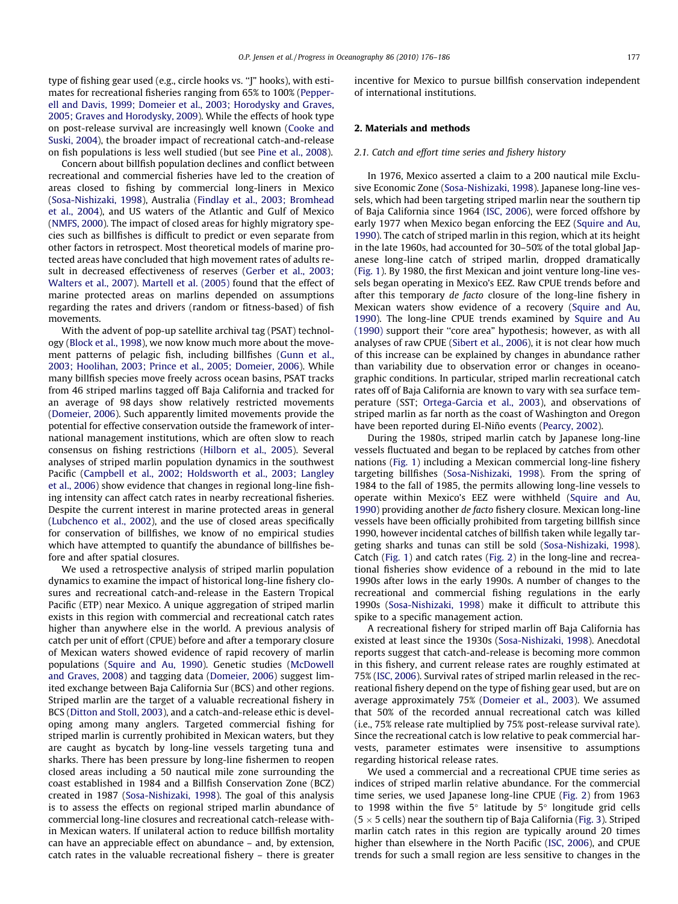type of fishing gear used (e.g., circle hooks vs. ''J" hooks), with estimates for recreational fisheries ranging from 65% to 100% [\(Pepper](#page-10-0)[ell and Davis, 1999; Domeier et al., 2003; Horodysky and Graves,](#page-10-0) [2005; Graves and Horodysky, 2009\)](#page-10-0). While the effects of hook type on post-release survival are increasingly well known [\(Cooke and](#page-9-0) [Suski, 2004\)](#page-9-0), the broader impact of recreational catch-and-release on fish populations is less well studied (but see [Pine et al., 2008\)](#page-10-0).

Concern about billfish population declines and conflict between recreational and commercial fisheries have led to the creation of areas closed to fishing by commercial long-liners in Mexico ([Sosa-Nishizaki, 1998\)](#page-10-0), Australia ([Findlay et al., 2003; Bromhead](#page-9-0) [et al., 2004\)](#page-9-0), and US waters of the Atlantic and Gulf of Mexico ([NMFS, 2000\)](#page-10-0). The impact of closed areas for highly migratory species such as billfishes is difficult to predict or even separate from other factors in retrospect. Most theoretical models of marine protected areas have concluded that high movement rates of adults result in decreased effectiveness of reserves [\(Gerber et al., 2003;](#page-9-0) [Walters et al., 2007](#page-9-0)). [Martell et al. \(2005\)](#page-10-0) found that the effect of marine protected areas on marlins depended on assumptions regarding the rates and drivers (random or fitness-based) of fish movements.

With the advent of pop-up satellite archival tag (PSAT) technology [\(Block et al., 1998\)](#page-9-0), we now know much more about the movement patterns of pelagic fish, including billfishes [\(Gunn et al.,](#page-9-0) [2003; Hoolihan, 2003; Prince et al., 2005; Domeier, 2006\)](#page-9-0). While many billfish species move freely across ocean basins, PSAT tracks from 46 striped marlins tagged off Baja California and tracked for an average of 98 days show relatively restricted movements ([Domeier, 2006](#page-9-0)). Such apparently limited movements provide the potential for effective conservation outside the framework of international management institutions, which are often slow to reach consensus on fishing restrictions ([Hilborn et al., 2005](#page-9-0)). Several analyses of striped marlin population dynamics in the southwest Pacific ([Campbell et al., 2002; Holdsworth et al., 2003; Langley](#page-9-0) [et al., 2006\)](#page-9-0) show evidence that changes in regional long-line fishing intensity can affect catch rates in nearby recreational fisheries. Despite the current interest in marine protected areas in general ([Lubchenco et al., 2002\)](#page-10-0), and the use of closed areas specifically for conservation of billfishes, we know of no empirical studies which have attempted to quantify the abundance of billfishes before and after spatial closures.

We used a retrospective analysis of striped marlin population dynamics to examine the impact of historical long-line fishery closures and recreational catch-and-release in the Eastern Tropical Pacific (ETP) near Mexico. A unique aggregation of striped marlin exists in this region with commercial and recreational catch rates higher than anywhere else in the world. A previous analysis of catch per unit of effort (CPUE) before and after a temporary closure of Mexican waters showed evidence of rapid recovery of marlin populations ([Squire and Au, 1990\)](#page-10-0). Genetic studies [\(McDowell](#page-10-0) [and Graves, 2008\)](#page-10-0) and tagging data ([Domeier, 2006\)](#page-9-0) suggest limited exchange between Baja California Sur (BCS) and other regions. Striped marlin are the target of a valuable recreational fishery in BCS ([Ditton and Stoll, 2003](#page-9-0)), and a catch-and-release ethic is developing among many anglers. Targeted commercial fishing for striped marlin is currently prohibited in Mexican waters, but they are caught as bycatch by long-line vessels targeting tuna and sharks. There has been pressure by long-line fishermen to reopen closed areas including a 50 nautical mile zone surrounding the coast established in 1984 and a Billfish Conservation Zone (BCZ) created in 1987 [\(Sosa-Nishizaki, 1998\)](#page-10-0). The goal of this analysis is to assess the effects on regional striped marlin abundance of commercial long-line closures and recreational catch-release within Mexican waters. If unilateral action to reduce billfish mortality can have an appreciable effect on abundance – and, by extension, catch rates in the valuable recreational fishery – there is greater incentive for Mexico to pursue billfish conservation independent of international institutions.

#### 2. Materials and methods

#### 2.1. Catch and effort time series and fishery history

In 1976, Mexico asserted a claim to a 200 nautical mile Exclusive Economic Zone ([Sosa-Nishizaki, 1998\)](#page-10-0). Japanese long-line vessels, which had been targeting striped marlin near the southern tip of Baja California since 1964 ([ISC, 2006](#page-10-0)), were forced offshore by early 1977 when Mexico began enforcing the EEZ ([Squire and Au,](#page-10-0) [1990](#page-10-0)). The catch of striped marlin in this region, which at its height in the late 1960s, had accounted for 30–50% of the total global Japanese long-line catch of striped marlin, dropped dramatically ([Fig. 1\)](#page-2-0). By 1980, the first Mexican and joint venture long-line vessels began operating in Mexico's EEZ. Raw CPUE trends before and after this temporary de facto closure of the long-line fishery in Mexican waters show evidence of a recovery ([Squire and Au,](#page-10-0) [1990](#page-10-0)). The long-line CPUE trends examined by [Squire and Au](#page-10-0) [\(1990\)](#page-10-0) support their ''core area" hypothesis; however, as with all analyses of raw CPUE ([Sibert et al., 2006\)](#page-10-0), it is not clear how much of this increase can be explained by changes in abundance rather than variability due to observation error or changes in oceanographic conditions. In particular, striped marlin recreational catch rates off of Baja California are known to vary with sea surface temperature (SST; [Ortega-Garcia et al., 2003\)](#page-10-0), and observations of striped marlin as far north as the coast of Washington and Oregon have been reported during El-Niño events [\(Pearcy, 2002](#page-10-0)).

During the 1980s, striped marlin catch by Japanese long-line vessels fluctuated and began to be replaced by catches from other nations [\(Fig. 1](#page-2-0)) including a Mexican commercial long-line fishery targeting billfishes ([Sosa-Nishizaki, 1998](#page-10-0)). From the spring of 1984 to the fall of 1985, the permits allowing long-line vessels to operate within Mexico's EEZ were withheld [\(Squire and Au,](#page-10-0) [1990](#page-10-0)) providing another de facto fishery closure. Mexican long-line vessels have been officially prohibited from targeting billfish since 1990, however incidental catches of billfish taken while legally targeting sharks and tunas can still be sold [\(Sosa-Nishizaki, 1998\)](#page-10-0). Catch ([Fig. 1](#page-2-0)) and catch rates ([Fig. 2\)](#page-2-0) in the long-line and recreational fisheries show evidence of a rebound in the mid to late 1990s after lows in the early 1990s. A number of changes to the recreational and commercial fishing regulations in the early 1990s ([Sosa-Nishizaki, 1998](#page-10-0)) make it difficult to attribute this spike to a specific management action.

A recreational fishery for striped marlin off Baja California has existed at least since the 1930s [\(Sosa-Nishizaki, 1998](#page-10-0)). Anecdotal reports suggest that catch-and-release is becoming more common in this fishery, and current release rates are roughly estimated at 75% [\(ISC, 2006\)](#page-10-0). Survival rates of striped marlin released in the recreational fishery depend on the type of fishing gear used, but are on average approximately 75% [\(Domeier et al., 2003](#page-9-0)). We assumed that 50% of the recorded annual recreational catch was killed (i.e., 75% release rate multiplied by 75% post-release survival rate). Since the recreational catch is low relative to peak commercial harvests, parameter estimates were insensitive to assumptions regarding historical release rates.

We used a commercial and a recreational CPUE time series as indices of striped marlin relative abundance. For the commercial time series, we used Japanese long-line CPUE ([Fig. 2\)](#page-2-0) from 1963 to 1998 within the five  $5^\circ$  latitude by  $5^\circ$  longitude grid cells (5  $\times$  5 cells) near the southern tip of Baja California ([Fig. 3](#page-3-0)). Striped marlin catch rates in this region are typically around 20 times higher than elsewhere in the North Pacific ([ISC, 2006](#page-10-0)), and CPUE trends for such a small region are less sensitive to changes in the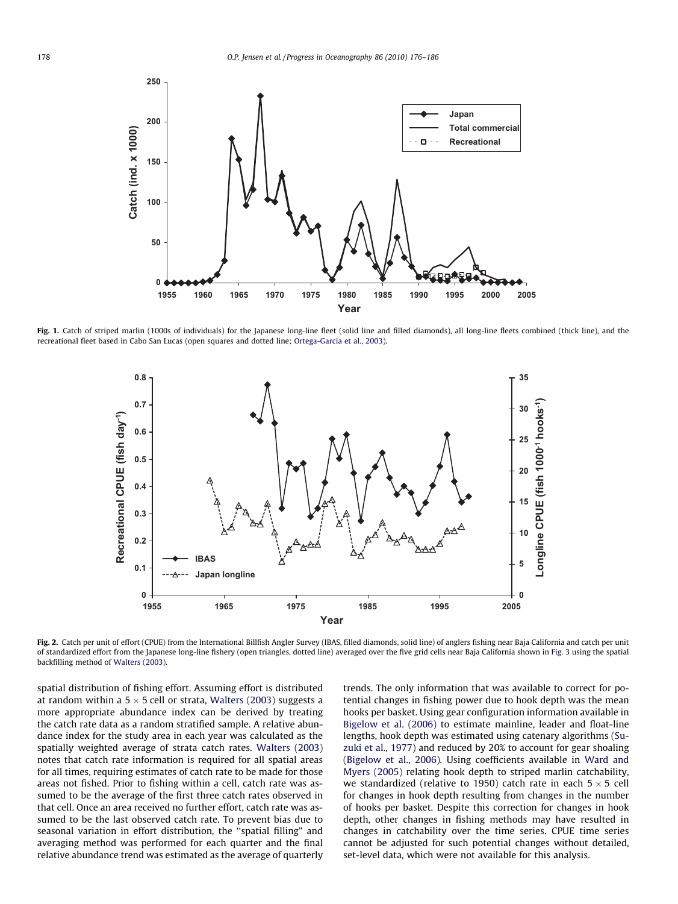<span id="page-2-0"></span>

Fig. 1. Catch of striped marlin (1000s of individuals) for the Japanese long-line fleet (solid line and filled diamonds), all long-line fleets combined (thick line), and the recreational fleet based in Cabo San Lucas (open squares and dotted line; [Ortega-Garcia et al., 2003](#page-10-0)).



Fig. 2. Catch per unit of effort (CPUE) from the International Billfish Angler Survey (IBAS, filled diamonds, solid line) of anglers fishing near Baja California and catch per unit of standardized effort from the Japanese long-line fishery (open triangles, dotted line) averaged over the five grid cells near Baja California shown in [Fig. 3](#page-3-0) using the spatial backfilling method of [Walters \(2003\).](#page-10-0)

spatial distribution of fishing effort. Assuming effort is distributed at random within a 5  $\times$  5 cell or strata, [Walters \(2003\)](#page-10-0) suggests a more appropriate abundance index can be derived by treating the catch rate data as a random stratified sample. A relative abundance index for the study area in each year was calculated as the spatially weighted average of strata catch rates. [Walters \(2003\)](#page-10-0) notes that catch rate information is required for all spatial areas for all times, requiring estimates of catch rate to be made for those areas not fished. Prior to fishing within a cell, catch rate was assumed to be the average of the first three catch rates observed in that cell. Once an area received no further effort, catch rate was assumed to be the last observed catch rate. To prevent bias due to seasonal variation in effort distribution, the ''spatial filling" and averaging method was performed for each quarter and the final relative abundance trend was estimated as the average of quarterly

trends. The only information that was available to correct for potential changes in fishing power due to hook depth was the mean hooks per basket. Using gear configuration information available in [Bigelow et al. \(2006\)](#page-9-0) to estimate mainline, leader and float-line lengths, hook depth was estimated using catenary algorithms [\(Su](#page-10-0)[zuki et al., 1977](#page-10-0)) and reduced by 20% to account for gear shoaling ([Bigelow et al., 2006\)](#page-9-0). Using coefficients available in [Ward and](#page-10-0) [Myers \(2005\)](#page-10-0) relating hook depth to striped marlin catchability, we standardized (relative to 1950) catch rate in each  $5 \times 5$  cell for changes in hook depth resulting from changes in the number of hooks per basket. Despite this correction for changes in hook depth, other changes in fishing methods may have resulted in changes in catchability over the time series. CPUE time series cannot be adjusted for such potential changes without detailed, set-level data, which were not available for this analysis.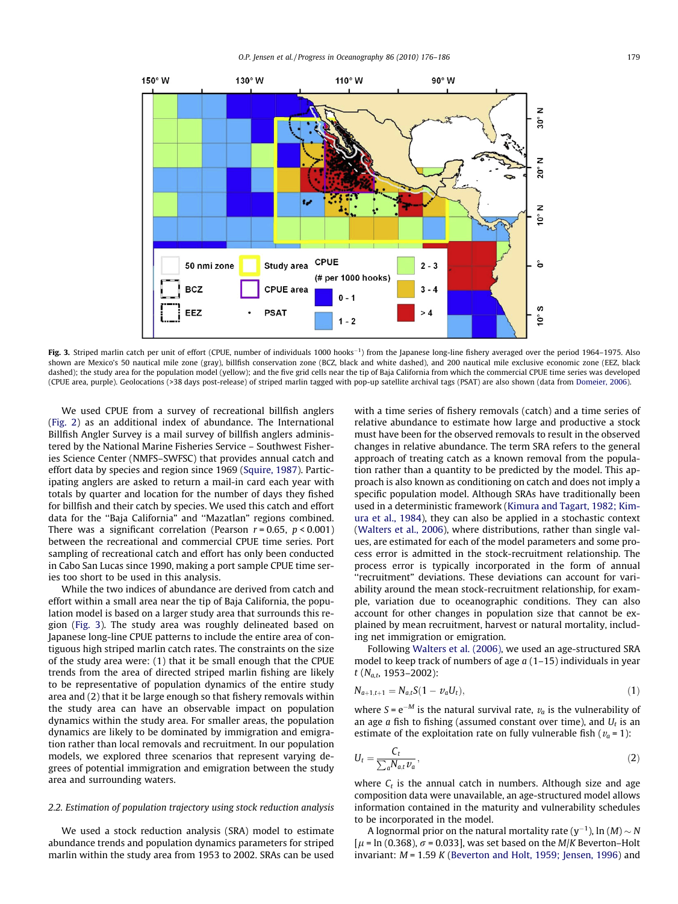<span id="page-3-0"></span>

Fig. 3. Striped marlin catch per unit of effort (CPUE, number of individuals 1000 hooks<sup>-1</sup>) from the Japanese long-line fishery averaged over the period 1964–1975. Also shown are Mexico's 50 nautical mile zone (gray), billfish conservation zone (BCZ, black and white dashed), and 200 nautical mile exclusive economic zone (EEZ, black dashed); the study area for the population model (yellow); and the five grid cells near the tip of Baja California from which the commercial CPUE time series was developed (CPUE area, purple). Geolocations (>38 days post-release) of striped marlin tagged with pop-up satellite archival tags (PSAT) are also shown (data from [Domeier, 2006](#page-9-0)).

We used CPUE from a survey of recreational billfish anglers ([Fig. 2\)](#page-2-0) as an additional index of abundance. The International Billfish Angler Survey is a mail survey of billfish anglers administered by the National Marine Fisheries Service – Southwest Fisheries Science Center (NMFS–SWFSC) that provides annual catch and effort data by species and region since 1969 [\(Squire, 1987](#page-10-0)). Participating anglers are asked to return a mail-in card each year with totals by quarter and location for the number of days they fished for billfish and their catch by species. We used this catch and effort data for the ''Baja California" and ''Mazatlan" regions combined. There was a significant correlation (Pearson  $r = 0.65$ ,  $p < 0.001$ ) between the recreational and commercial CPUE time series. Port sampling of recreational catch and effort has only been conducted in Cabo San Lucas since 1990, making a port sample CPUE time series too short to be used in this analysis.

While the two indices of abundance are derived from catch and effort within a small area near the tip of Baja California, the population model is based on a larger study area that surrounds this region (Fig. 3). The study area was roughly delineated based on Japanese long-line CPUE patterns to include the entire area of contiguous high striped marlin catch rates. The constraints on the size of the study area were: (1) that it be small enough that the CPUE trends from the area of directed striped marlin fishing are likely to be representative of population dynamics of the entire study area and (2) that it be large enough so that fishery removals within the study area can have an observable impact on population dynamics within the study area. For smaller areas, the population dynamics are likely to be dominated by immigration and emigration rather than local removals and recruitment. In our population models, we explored three scenarios that represent varying degrees of potential immigration and emigration between the study area and surrounding waters.

## 2.2. Estimation of population trajectory using stock reduction analysis

We used a stock reduction analysis (SRA) model to estimate abundance trends and population dynamics parameters for striped marlin within the study area from 1953 to 2002. SRAs can be used with a time series of fishery removals (catch) and a time series of relative abundance to estimate how large and productive a stock must have been for the observed removals to result in the observed changes in relative abundance. The term SRA refers to the general approach of treating catch as a known removal from the population rather than a quantity to be predicted by the model. This approach is also known as conditioning on catch and does not imply a specific population model. Although SRAs have traditionally been used in a deterministic framework [\(Kimura and Tagart, 1982; Kim](#page-10-0)[ura et al., 1984](#page-10-0)), they can also be applied in a stochastic context ([Walters et al., 2006\)](#page-10-0), where distributions, rather than single values, are estimated for each of the model parameters and some process error is admitted in the stock-recruitment relationship. The process error is typically incorporated in the form of annual "recruitment" deviations. These deviations can account for variability around the mean stock-recruitment relationship, for example, variation due to oceanographic conditions. They can also account for other changes in population size that cannot be explained by mean recruitment, harvest or natural mortality, including net immigration or emigration.

Following [Walters et al. \(2006\)](#page-10-0), we used an age-structured SRA model to keep track of numbers of age  $a(1-15)$  individuals in year t ( $N_{a,t}$ , 1953–2002):

$$
N_{a+1,t+1} = N_{a,t}S(1 - v_a U_t),
$$
\n(1)

where  $S = e^{-M}$  is the natural survival rate,  $v_a$  is the vulnerability of an age  $a$  fish to fishing (assumed constant over time), and  $U_t$  is an estimate of the exploitation rate on fully vulnerable fish  $(v_a = 1)$ :

$$
U_t = \frac{C_t}{\sum_a N_{a,t} v_a},\tag{2}
$$

where  $C_t$  is the annual catch in numbers. Although size and age composition data were unavailable, an age-structured model allows information contained in the maturity and vulnerability schedules to be incorporated in the model.

A lognormal prior on the natural mortality rate (y $^{-1}$ ), ln (M)  $\sim$  N  $\mu$  = ln (0.368),  $\sigma$  = 0.033], was set based on the *M*/*K* Beverton–Holt invariant:  $M = 1.59 K$  [\(Beverton and Holt, 1959; Jensen, 1996\)](#page-9-0) and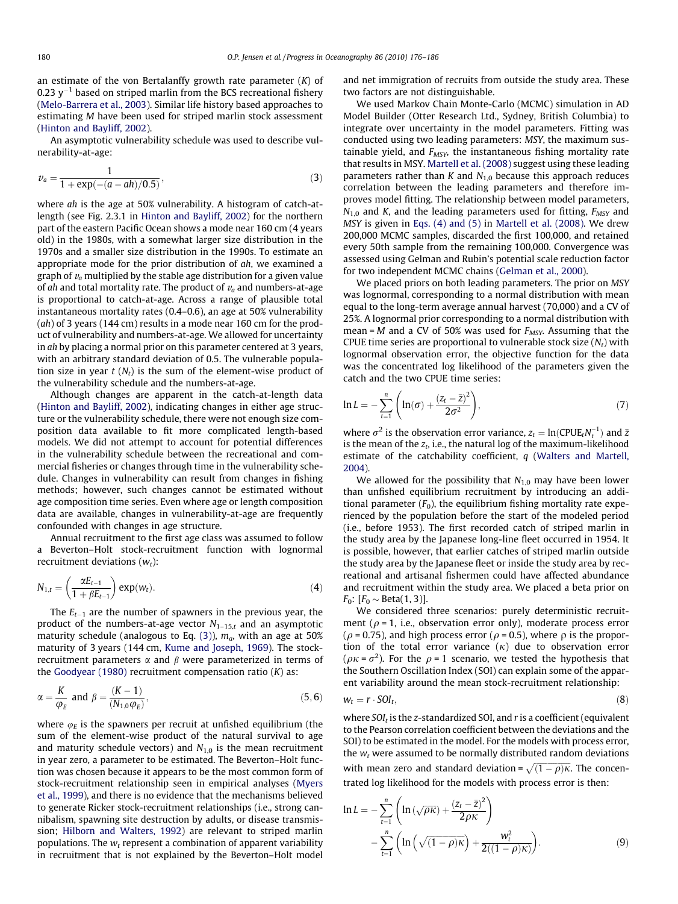an estimate of the von Bertalanffy growth rate parameter  $(K)$  of 0.23  $v^{-1}$  based on striped marlin from the BCS recreational fishery ([Melo-Barrera et al., 2003\)](#page-10-0). Similar life history based approaches to estimating M have been used for striped marlin stock assessment ([Hinton and Bayliff, 2002\)](#page-9-0).

An asymptotic vulnerability schedule was used to describe vulnerability-at-age:

$$
v_a = \frac{1}{1 + \exp(-(a - ah)/0.5)},
$$
\n(3)

where ah is the age at 50% vulnerability. A histogram of catch-atlength (see Fig. 2.3.1 in [Hinton and Bayliff, 2002\)](#page-9-0) for the northern part of the eastern Pacific Ocean shows a mode near 160 cm (4 years old) in the 1980s, with a somewhat larger size distribution in the 1970s and a smaller size distribution in the 1990s. To estimate an appropriate mode for the prior distribution of ah, we examined a graph of  $v_a$  multiplied by the stable age distribution for a given value of ah and total mortality rate. The product of  $v_a$  and numbers-at-age is proportional to catch-at-age. Across a range of plausible total instantaneous mortality rates (0.4–0.6), an age at 50% vulnerability  $(ah)$  of 3 years (144 cm) results in a mode near 160 cm for the product of vulnerability and numbers-at-age. We allowed for uncertainty in *ah* by placing a normal prior on this parameter centered at 3 years, with an arbitrary standard deviation of 0.5. The vulnerable population size in year  $t$  ( $N_t$ ) is the sum of the element-wise product of the vulnerability schedule and the numbers-at-age.

Although changes are apparent in the catch-at-length data ([Hinton and Bayliff, 2002](#page-9-0)), indicating changes in either age structure or the vulnerability schedule, there were not enough size composition data available to fit more complicated length-based models. We did not attempt to account for potential differences in the vulnerability schedule between the recreational and commercial fisheries or changes through time in the vulnerability schedule. Changes in vulnerability can result from changes in fishing methods; however, such changes cannot be estimated without age composition time series. Even where age or length composition data are available, changes in vulnerability-at-age are frequently confounded with changes in age structure.

Annual recruitment to the first age class was assumed to follow a Beverton–Holt stock-recruitment function with lognormal recruitment deviations  $(w_t)$ :

$$
N_{1,t} = \left(\frac{\alpha E_{t-1}}{1 + \beta E_{t-1}}\right) \exp(w_t).
$$
\n(4)

The  $E_{t-1}$  are the number of spawners in the previous year, the product of the numbers-at-age vector  $N_{1-15,t}$  and an asymptotic maturity schedule (analogous to Eq. (3)),  $m_a$ , with an age at 50% maturity of 3 years (144 cm, [Kume and Joseph, 1969\)](#page-10-0). The stockrecruitment parameters  $\alpha$  and  $\beta$  were parameterized in terms of the [Goodyear \(1980\)](#page-9-0) recruitment compensation ratio  $(K)$  as:

$$
\alpha = \frac{K}{\varphi_E} \text{ and } \beta = \frac{(K-1)}{(N_{1,0}\varphi_E)},
$$
\n(5,6)

where  $\varphi_E$  is the spawners per recruit at unfished equilibrium (the sum of the element-wise product of the natural survival to age and maturity schedule vectors) and  $N_{1,0}$  is the mean recruitment in year zero, a parameter to be estimated. The Beverton–Holt function was chosen because it appears to be the most common form of stock-recruitment relationship seen in empirical analyses ([Myers](#page-10-0) [et al., 1999](#page-10-0)), and there is no evidence that the mechanisms believed to generate Ricker stock-recruitment relationships (i.e., strong cannibalism, spawning site destruction by adults, or disease transmission; [Hilborn and Walters, 1992\)](#page-9-0) are relevant to striped marlin populations. The  $w_t$  represent a combination of apparent variability in recruitment that is not explained by the Beverton–Holt model

and net immigration of recruits from outside the study area. These two factors are not distinguishable.

We used Markov Chain Monte-Carlo (MCMC) simulation in AD Model Builder (Otter Research Ltd., Sydney, British Columbia) to integrate over uncertainty in the model parameters. Fitting was conducted using two leading parameters: MSY, the maximum sustainable yield, and  $F_{MSY}$ , the instantaneous fishing mortality rate that results in MSY. [Martell et al. \(2008\)](#page-10-0) suggest using these leading parameters rather than  $K$  and  $N_{1,0}$  because this approach reduces correlation between the leading parameters and therefore improves model fitting. The relationship between model parameters,  $N_{1,0}$  and K, and the leading parameters used for fitting,  $F_{MSY}$  and MSY is given in Eqs. (4) and (5) in [Martell et al. \(2008\).](#page-10-0) We drew 200,000 MCMC samples, discarded the first 100,000, and retained every 50th sample from the remaining 100,000. Convergence was assessed using Gelman and Rubin's potential scale reduction factor for two independent MCMC chains ([Gelman et al., 2000](#page-9-0)).

We placed priors on both leading parameters. The prior on MSY was lognormal, corresponding to a normal distribution with mean equal to the long-term average annual harvest (70,000) and a CV of 25%. A lognormal prior corresponding to a normal distribution with mean = M and a CV of 50% was used for  $F_{MSV}$ . Assuming that the CPUE time series are proportional to vulnerable stock size  $(N_t)$  with lognormal observation error, the objective function for the data was the concentrated log likelihood of the parameters given the catch and the two CPUE time series:

$$
\ln L = -\sum_{t=1}^{n} \left( \ln(\sigma) + \frac{(z_t - \bar{z})^2}{2\sigma^2} \right),\tag{7}
$$

where  $\sigma^2$  is the observation error variance,  $z_t = \ln(\text{CPUE}_t N_t^{-1})$  and  $\bar{z}$ is the mean of the  $z_t$ , i.e., the natural log of the maximum-likelihood estimate of the catchability coefficient,  $q$  ([Walters and Martell,](#page-10-0) [2004](#page-10-0)).

We allowed for the possibility that  $N_{1,0}$  may have been lower than unfished equilibrium recruitment by introducing an additional parameter  $(F_0)$ , the equilibrium fishing mortality rate experienced by the population before the start of the modeled period (i.e., before 1953). The first recorded catch of striped marlin in the study area by the Japanese long-line fleet occurred in 1954. It is possible, however, that earlier catches of striped marlin outside the study area by the Japanese fleet or inside the study area by recreational and artisanal fishermen could have affected abundance and recruitment within the study area. We placed a beta prior on  $F_0: [F_0 \sim \text{Beta}(1, 3)].$ 

We considered three scenarios: purely deterministic recruitment ( $\rho$  = 1, i.e., observation error only), moderate process error ( $\rho$  = 0.75), and high process error ( $\rho$  = 0.5), where  $\rho$  is the proportion of the total error variance  $(\kappa)$  due to observation error ( $\rho \kappa = \sigma^2$ ). For the  $\rho = 1$  scenario, we tested the hypothesis that the Southern Oscillation Index (SOI) can explain some of the apparent variability around the mean stock-recruitment relationship:

$$
w_t = r \cdot \text{SOI}_t,\tag{8}
$$

where  $SOL_t$  is the z-standardized SOI, and  $r$  is a coefficient (equivalent to the Pearson correlation coefficient between the deviations and the SOI) to be estimated in the model. For the models with process error, the  $w_t$  were assumed to be normally distributed random deviations with mean zero and standard deviation =  $\sqrt{(1-\rho)\kappa}$ . The concentrated log likelihood for the models with process error is then:

$$
\ln L = -\sum_{t=1}^{n} \left( \ln \left( \sqrt{\rho \kappa} \right) + \frac{(z_t - \bar{z})^2}{2\rho \kappa} \right)
$$

$$
- \sum_{t=1}^{n} \left( \ln \left( \sqrt{(1 - \rho)\kappa} \right) + \frac{w_t^2}{2((1 - \rho)\kappa)} \right). \tag{9}
$$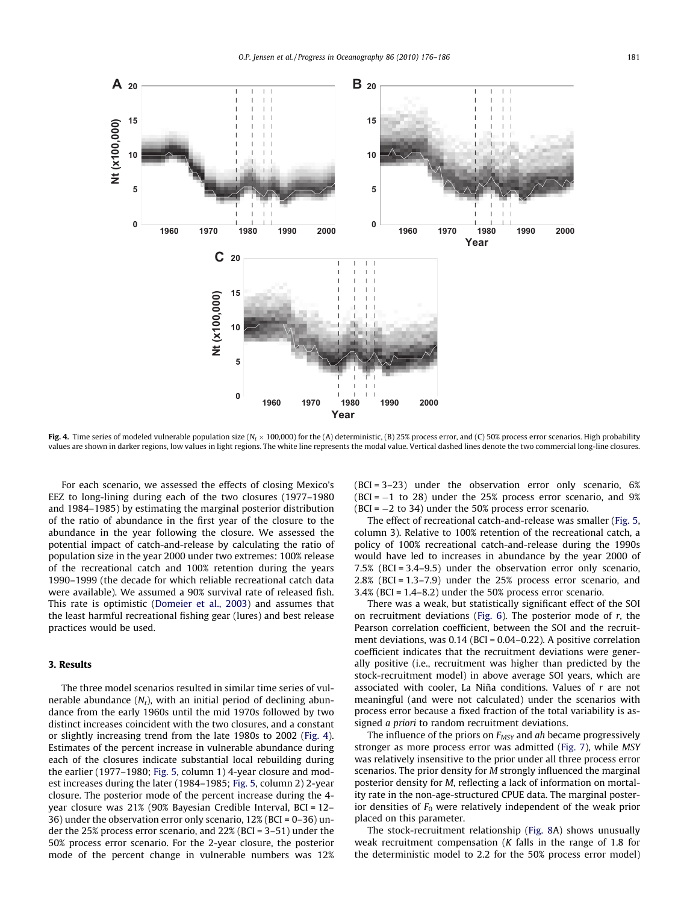

**Fig. 4.** Time series of modeled vulnerable population size (N<sub>t</sub> × 100,000) for the (A) deterministic, (B) 25% process error, and (C) 50% process error scenarios. High probability values are shown in darker regions, low values in light regions. The white line represents the modal value. Vertical dashed lines denote the two commercial long-line closures.

For each scenario, we assessed the effects of closing Mexico's EEZ to long-lining during each of the two closures (1977–1980 and 1984–1985) by estimating the marginal posterior distribution of the ratio of abundance in the first year of the closure to the abundance in the year following the closure. We assessed the potential impact of catch-and-release by calculating the ratio of population size in the year 2000 under two extremes: 100% release of the recreational catch and 100% retention during the years 1990–1999 (the decade for which reliable recreational catch data were available). We assumed a 90% survival rate of released fish. This rate is optimistic [\(Domeier et al., 2003](#page-9-0)) and assumes that the least harmful recreational fishing gear (lures) and best release practices would be used.

### 3. Results

The three model scenarios resulted in similar time series of vulnerable abundance  $(N_t)$ , with an initial period of declining abundance from the early 1960s until the mid 1970s followed by two distinct increases coincident with the two closures, and a constant or slightly increasing trend from the late 1980s to 2002 (Fig. 4). Estimates of the percent increase in vulnerable abundance during each of the closures indicate substantial local rebuilding during the earlier (1977–1980; [Fig. 5](#page-6-0), column 1) 4-year closure and modest increases during the later (1984–1985; [Fig. 5,](#page-6-0) column 2) 2-year closure. The posterior mode of the percent increase during the 4 year closure was 21% (90% Bayesian Credible Interval, BCI = 12– 36) under the observation error only scenario, 12% (BCI = 0–36) under the 25% process error scenario, and 22% (BCI = 3–51) under the 50% process error scenario. For the 2-year closure, the posterior mode of the percent change in vulnerable numbers was 12% (BCI = 3–23) under the observation error only scenario, 6%  $(BCI = -1)$  to 28) under the 25% process error scenario, and 9% (BCI =  $-2$  to 34) under the 50% process error scenario.

The effect of recreational catch-and-release was smaller [\(Fig. 5,](#page-6-0) column 3). Relative to 100% retention of the recreational catch, a policy of 100% recreational catch-and-release during the 1990s would have led to increases in abundance by the year 2000 of 7.5% (BCI = 3.4–9.5) under the observation error only scenario, 2.8% (BCI = 1.3–7.9) under the 25% process error scenario, and 3.4% (BCI = 1.4–8.2) under the 50% process error scenario.

There was a weak, but statistically significant effect of the SOI on recruitment deviations ([Fig. 6](#page-6-0)). The posterior mode of  $r$ , the Pearson correlation coefficient, between the SOI and the recruitment deviations, was 0.14 (BCI = 0.04–0.22). A positive correlation coefficient indicates that the recruitment deviations were generally positive (i.e., recruitment was higher than predicted by the stock-recruitment model) in above average SOI years, which are associated with cooler, La Niña conditions. Values of r are not meaningful (and were not calculated) under the scenarios with process error because a fixed fraction of the total variability is assigned a priori to random recruitment deviations.

The influence of the priors on  $F_{MSY}$  and ah became progressively stronger as more process error was admitted [\(Fig. 7](#page-7-0)), while MSY was relatively insensitive to the prior under all three process error scenarios. The prior density for M strongly influenced the marginal posterior density for M, reflecting a lack of information on mortality rate in the non-age-structured CPUE data. The marginal posterior densities of  $F_0$  were relatively independent of the weak prior placed on this parameter.

The stock-recruitment relationship [\(Fig. 8A](#page-8-0)) shows unusually weak recruitment compensation (K falls in the range of 1.8 for the deterministic model to 2.2 for the 50% process error model)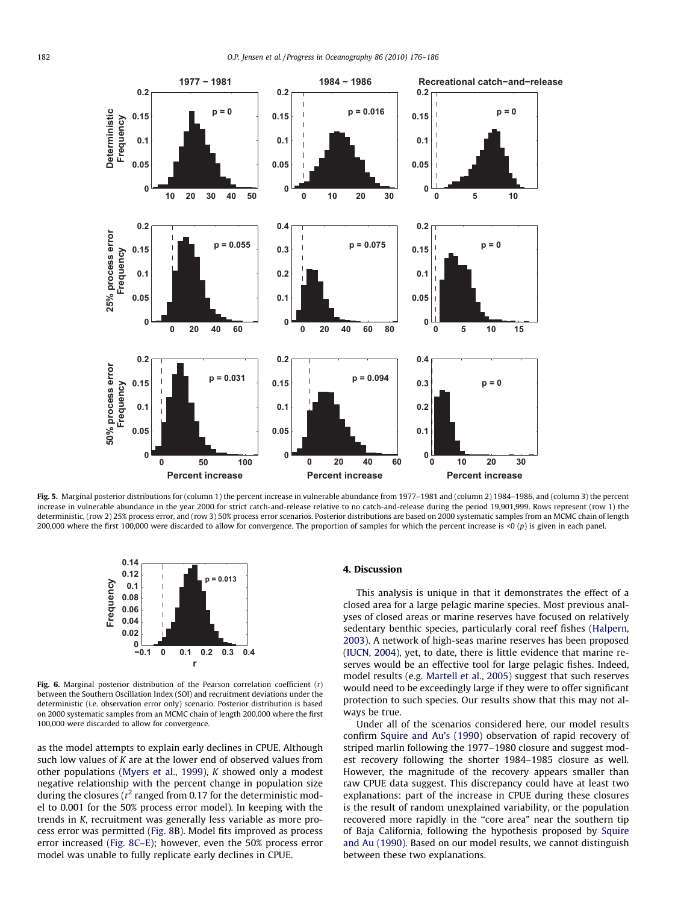<span id="page-6-0"></span>

Fig. 5. Marginal posterior distributions for (column 1) the percent increase in vulnerable abundance from 1977–1981 and (column 2) 1984–1986, and (column 3) the percent increase in vulnerable abundance in the year 2000 for strict catch-and-release relative to no catch-and-release during the period 19,901,999. Rows represent (row 1) the deterministic, (row 2) 25% process error, and (row 3) 50% process error scenarios. Posterior distributions are based on 2000 systematic samples from an MCMC chain of length 200,000 where the first 100,000 were discarded to allow for convergence. The proportion of samples for which the percent increase is <0 (p) is given in each panel.



Fig. 6. Marginal posterior distribution of the Pearson correlation coefficient  $(r)$ between the Southern Oscillation Index (SOI) and recruitment deviations under the deterministic (i.e. observation error only) scenario. Posterior distribution is based on 2000 systematic samples from an MCMC chain of length 200,000 where the first 100,000 were discarded to allow for convergence.

as the model attempts to explain early declines in CPUE. Although such low values of K are at the lower end of observed values from other populations ([Myers et al., 1999](#page-10-0)), K showed only a modest negative relationship with the percent change in population size during the closures ( $r^2$  ranged from 0.17 for the deterministic model to 0.001 for the 50% process error model). In keeping with the trends in K, recruitment was generally less variable as more process error was permitted ([Fig. 8](#page-8-0)B). Model fits improved as process error increased ([Fig. 8C–E](#page-8-0)); however, even the 50% process error model was unable to fully replicate early declines in CPUE.

### 4. Discussion

This analysis is unique in that it demonstrates the effect of a closed area for a large pelagic marine species. Most previous analyses of closed areas or marine reserves have focused on relatively sedentary benthic species, particularly coral reef fishes ([Halpern,](#page-9-0) [2003\)](#page-9-0). A network of high-seas marine reserves has been proposed ([IUCN, 2004\)](#page-10-0), yet, to date, there is little evidence that marine reserves would be an effective tool for large pelagic fishes. Indeed, model results (e.g. [Martell et al., 2005\)](#page-10-0) suggest that such reserves would need to be exceedingly large if they were to offer significant protection to such species. Our results show that this may not always be true.

Under all of the scenarios considered here, our model results confirm [Squire and Au's \(1990\)](#page-10-0) observation of rapid recovery of striped marlin following the 1977–1980 closure and suggest modest recovery following the shorter 1984–1985 closure as well. However, the magnitude of the recovery appears smaller than raw CPUE data suggest. This discrepancy could have at least two explanations: part of the increase in CPUE during these closures is the result of random unexplained variability, or the population recovered more rapidly in the ''core area" near the southern tip of Baja California, following the hypothesis proposed by [Squire](#page-10-0) [and Au \(1990\)](#page-10-0). Based on our model results, we cannot distinguish between these two explanations.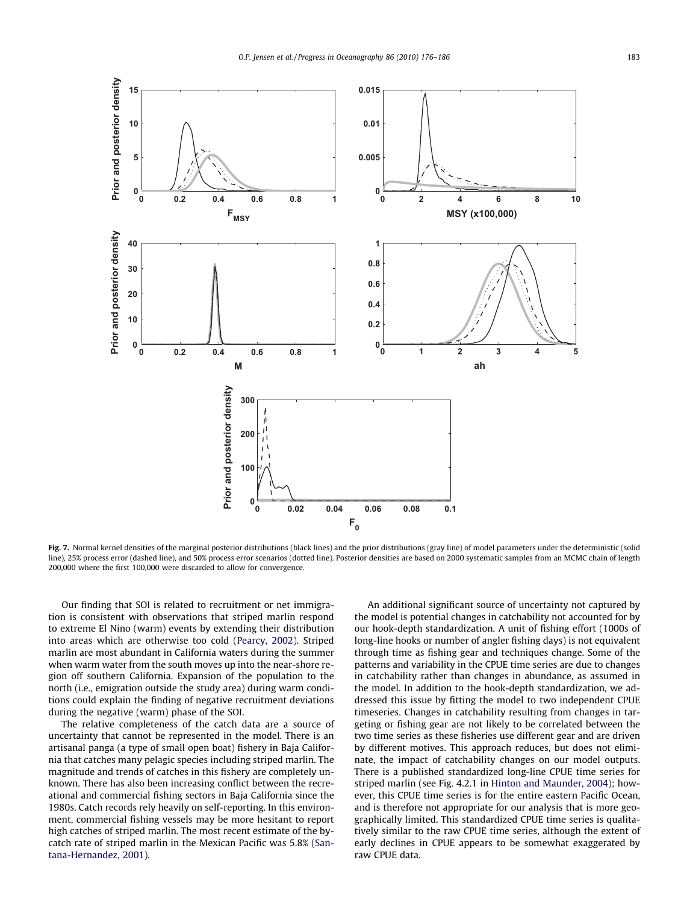<span id="page-7-0"></span>

Fig. 7. Normal kernel densities of the marginal posterior distributions (black lines) and the prior distributions (gray line) of model parameters under the deterministic (solid line), 25% process error (dashed line), and 50% process error scenarios (dotted line). Posterior densities are based on 2000 systematic samples from an MCMC chain of length 200,000 where the first 100,000 were discarded to allow for convergence.

Our finding that SOI is related to recruitment or net immigration is consistent with observations that striped marlin respond to extreme El Nino (warm) events by extending their distribution into areas which are otherwise too cold [\(Pearcy, 2002\)](#page-10-0). Striped marlin are most abundant in California waters during the summer when warm water from the south moves up into the near-shore region off southern California. Expansion of the population to the north (i.e., emigration outside the study area) during warm conditions could explain the finding of negative recruitment deviations during the negative (warm) phase of the SOI.

The relative completeness of the catch data are a source of uncertainty that cannot be represented in the model. There is an artisanal panga (a type of small open boat) fishery in Baja California that catches many pelagic species including striped marlin. The magnitude and trends of catches in this fishery are completely unknown. There has also been increasing conflict between the recreational and commercial fishing sectors in Baja California since the 1980s. Catch records rely heavily on self-reporting. In this environment, commercial fishing vessels may be more hesitant to report high catches of striped marlin. The most recent estimate of the bycatch rate of striped marlin in the Mexican Pacific was 5.8% ([San](#page-10-0)[tana-Hernandez, 2001\)](#page-10-0).

An additional significant source of uncertainty not captured by the model is potential changes in catchability not accounted for by our hook-depth standardization. A unit of fishing effort (1000s of long-line hooks or number of angler fishing days) is not equivalent through time as fishing gear and techniques change. Some of the patterns and variability in the CPUE time series are due to changes in catchability rather than changes in abundance, as assumed in the model. In addition to the hook-depth standardization, we addressed this issue by fitting the model to two independent CPUE timeseries. Changes in catchability resulting from changes in targeting or fishing gear are not likely to be correlated between the two time series as these fisheries use different gear and are driven by different motives. This approach reduces, but does not eliminate, the impact of catchability changes on our model outputs. There is a published standardized long-line CPUE time series for striped marlin (see Fig. 4.2.1 in [Hinton and Maunder, 2004](#page-9-0)); however, this CPUE time series is for the entire eastern Pacific Ocean, and is therefore not appropriate for our analysis that is more geographically limited. This standardized CPUE time series is qualitatively similar to the raw CPUE time series, although the extent of early declines in CPUE appears to be somewhat exaggerated by raw CPUE data.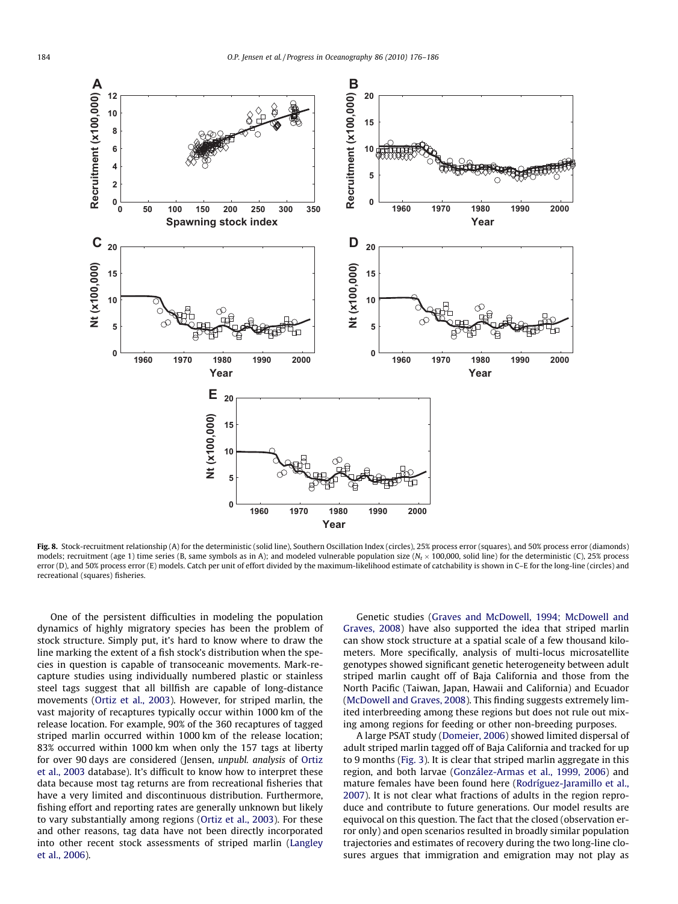<span id="page-8-0"></span>

Fig. 8. Stock-recruitment relationship (A) for the deterministic (solid line), Southern Oscillation Index (circles), 25% process error (squares), and 50% process error (diamonds) models; recruitment (age 1) time series (B, same symbols as in A); and modeled vulnerable population size (N<sub>t</sub> × 100,000, solid line) for the deterministic (C), 25% process error (D), and 50% process error (E) models. Catch per unit of effort divided by the maximum-likelihood estimate of catchability is shown in C-E for the long-line (circles) and recreational (squares) fisheries.

One of the persistent difficulties in modeling the population dynamics of highly migratory species has been the problem of stock structure. Simply put, it's hard to know where to draw the line marking the extent of a fish stock's distribution when the species in question is capable of transoceanic movements. Mark-recapture studies using individually numbered plastic or stainless steel tags suggest that all billfish are capable of long-distance movements ([Ortiz et al., 2003](#page-10-0)). However, for striped marlin, the vast majority of recaptures typically occur within 1000 km of the release location. For example, 90% of the 360 recaptures of tagged striped marlin occurred within 1000 km of the release location; 83% occurred within 1000 km when only the 157 tags at liberty for over 90 days are considered (Jensen, unpubl. analysis of [Ortiz](#page-10-0) [et al., 2003](#page-10-0) database). It's difficult to know how to interpret these data because most tag returns are from recreational fisheries that have a very limited and discontinuous distribution. Furthermore, fishing effort and reporting rates are generally unknown but likely to vary substantially among regions [\(Ortiz et al., 2003\)](#page-10-0). For these and other reasons, tag data have not been directly incorporated into other recent stock assessments of striped marlin ([Langley](#page-10-0) [et al., 2006\)](#page-10-0).

Genetic studies ([Graves and McDowell, 1994; McDowell and](#page-9-0) [Graves, 2008](#page-9-0)) have also supported the idea that striped marlin can show stock structure at a spatial scale of a few thousand kilometers. More specifically, analysis of multi-locus microsatellite genotypes showed significant genetic heterogeneity between adult striped marlin caught off of Baja California and those from the North Pacific (Taiwan, Japan, Hawaii and California) and Ecuador ([McDowell and Graves, 2008](#page-10-0)). This finding suggests extremely limited interbreeding among these regions but does not rule out mixing among regions for feeding or other non-breeding purposes.

A large PSAT study ([Domeier, 2006\)](#page-9-0) showed limited dispersal of adult striped marlin tagged off of Baja California and tracked for up to 9 months [\(Fig. 3\)](#page-3-0). It is clear that striped marlin aggregate in this region, and both larvae ([González-Armas et al., 1999, 2006](#page-9-0)) and mature females have been found here ([Rodríguez-Jaramillo et al.,](#page-10-0) [2007\)](#page-10-0). It is not clear what fractions of adults in the region reproduce and contribute to future generations. Our model results are equivocal on this question. The fact that the closed (observation error only) and open scenarios resulted in broadly similar population trajectories and estimates of recovery during the two long-line closures argues that immigration and emigration may not play as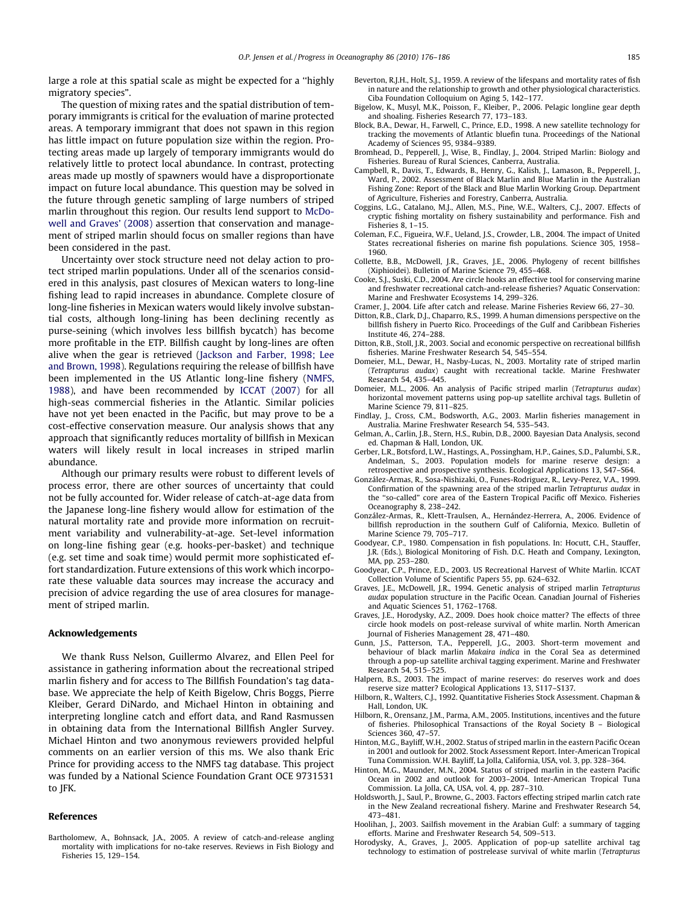<span id="page-9-0"></span>large a role at this spatial scale as might be expected for a ''highly migratory species".

The question of mixing rates and the spatial distribution of temporary immigrants is critical for the evaluation of marine protected areas. A temporary immigrant that does not spawn in this region has little impact on future population size within the region. Protecting areas made up largely of temporary immigrants would do relatively little to protect local abundance. In contrast, protecting areas made up mostly of spawners would have a disproportionate impact on future local abundance. This question may be solved in the future through genetic sampling of large numbers of striped marlin throughout this region. Our results lend support to [McDo](#page-10-0)[well and Graves' \(2008\)](#page-10-0) assertion that conservation and management of striped marlin should focus on smaller regions than have been considered in the past.

Uncertainty over stock structure need not delay action to protect striped marlin populations. Under all of the scenarios considered in this analysis, past closures of Mexican waters to long-line fishing lead to rapid increases in abundance. Complete closure of long-line fisheries in Mexican waters would likely involve substantial costs, although long-lining has been declining recently as purse-seining (which involves less billfish bycatch) has become more profitable in the ETP. Billfish caught by long-lines are often alive when the gear is retrieved ([Jackson and Farber, 1998; Lee](#page-10-0) [and Brown, 1998](#page-10-0)). Regulations requiring the release of billfish have been implemented in the US Atlantic long-line fishery ([NMFS,](#page-10-0) [1988\)](#page-10-0), and have been recommended by [ICCAT \(2007\)](#page-10-0) for all high-seas commercial fisheries in the Atlantic. Similar policies have not yet been enacted in the Pacific, but may prove to be a cost-effective conservation measure. Our analysis shows that any approach that significantly reduces mortality of billfish in Mexican waters will likely result in local increases in striped marlin abundance.

Although our primary results were robust to different levels of process error, there are other sources of uncertainty that could not be fully accounted for. Wider release of catch-at-age data from the Japanese long-line fishery would allow for estimation of the natural mortality rate and provide more information on recruitment variability and vulnerability-at-age. Set-level information on long-line fishing gear (e.g. hooks-per-basket) and technique (e.g. set time and soak time) would permit more sophisticated effort standardization. Future extensions of this work which incorporate these valuable data sources may increase the accuracy and precision of advice regarding the use of area closures for management of striped marlin.

#### Acknowledgements

We thank Russ Nelson, Guillermo Alvarez, and Ellen Peel for assistance in gathering information about the recreational striped marlin fishery and for access to The Billfish Foundation's tag database. We appreciate the help of Keith Bigelow, Chris Boggs, Pierre Kleiber, Gerard DiNardo, and Michael Hinton in obtaining and interpreting longline catch and effort data, and Rand Rasmussen in obtaining data from the International Billfish Angler Survey. Michael Hinton and two anonymous reviewers provided helpful comments on an earlier version of this ms. We also thank Eric Prince for providing access to the NMFS tag database. This project was funded by a National Science Foundation Grant OCE 9731531 to JFK.

#### References

Bartholomew, A., Bohnsack, J.A., 2005. A review of catch-and-release angling mortality with implications for no-take reserves. Reviews in Fish Biology and Fisheries 15, 129–154.

- Beverton, R.J.H., Holt, S.J., 1959. A review of the lifespans and mortality rates of fish in nature and the relationship to growth and other physiological characteristics. Ciba Foundation Colloquium on Aging 5, 142–177.
- Bigelow, K., Musyl, M.K., Poisson, F., Kleiber, P., 2006. Pelagic longline gear depth and shoaling. Fisheries Research 77, 173–183.
- Block, B.A., Dewar, H., Farwell, C., Prince, E.D., 1998. A new satellite technology for tracking the movements of Atlantic bluefin tuna. Proceedings of the National Academy of Sciences 95, 9384–9389.
- Bromhead, D., Pepperell, J., Wise, B., Findlay, J., 2004. Striped Marlin: Biology and Fisheries. Bureau of Rural Sciences, Canberra, Australia.
- Campbell, R., Davis, T., Edwards, B., Henry, G., Kalish, J., Lamason, B., Pepperell, J., Ward, P., 2002. Assessment of Black Marlin and Blue Marlin in the Australian Fishing Zone: Report of the Black and Blue Marlin Working Group. Department of Agriculture, Fisheries and Forestry, Canberra, Australia.
- Coggins, L.G., Catalano, M.J., Allen, M.S., Pine, W.E., Walters, C.J., 2007. Effects of cryptic fishing mortality on fishery sustainability and performance. Fish and Fisheries 8, 1–15.
- Coleman, F.C., Figueira, W.F., Ueland, J.S., Crowder, L.B., 2004. The impact of United States recreational fisheries on marine fish populations. Science 305, 1958– 1960.
- Collette, B.B., McDowell, J.R., Graves, J.E., 2006. Phylogeny of recent billfishes (Xiphioidei). Bulletin of Marine Science 79, 455–468.
- Cooke, S.J., Suski, C.D., 2004. Are circle hooks an effective tool for conserving marine and freshwater recreational catch-and-release fisheries? Aquatic Conservation: Marine and Freshwater Ecosystems 14, 299–326.
- Cramer, J., 2004. Life after catch and release. Marine Fisheries Review 66, 27–30.
- Ditton, R.B., Clark, D.J., Chaparro, R.S., 1999. A human dimensions perspective on the billfish fishery in Puerto Rico. Proceedings of the Gulf and Caribbean Fisheries Institute 46, 274–288.
- Ditton, R.B., Stoll, J.R., 2003. Social and economic perspective on recreational billfish fisheries. Marine Freshwater Research 54, 545–554.
- Domeier, M.L., Dewar, H., Nasby-Lucas, N., 2003. Mortality rate of striped marlin (Tetrapturus audax) caught with recreational tackle. Marine Freshwater Research 54, 435–445.
- Domeier, M.L., 2006. An analysis of Pacific striped marlin (Tetrapturus audax) horizontal movement patterns using pop-up satellite archival tags. Bulletin of Marine Science 79, 811–825.
- Findlay, J., Cross, C.M., Bodsworth, A.G., 2003. Marlin fisheries management in Australia. Marine Freshwater Research 54, 535–543.
- Gelman, A., Carlin, J.B., Stern, H.S., Rubin, D.B., 2000. Bayesian Data Analysis, second ed. Chapman & Hall, London, UK.
- Gerber, L.R., Botsford, L.W., Hastings, A., Possingham, H.P., Gaines, S.D., Palumbi, S.R., Andelman, S., 2003. Population models for marine reserve design: a retrospective and prospective synthesis. Ecological Applications 13, S47–S64.
- González-Armas, R., Sosa-Nishizaki, O., Funes-Rodriguez, R., Levy-Perez, V.A., 1999. Confirmation of the spawning area of the striped marlin Tetrapturus audax in the ''so-called" core area of the Eastern Tropical Pacific off Mexico. Fisheries Oceanography 8, 238–242.
- González-Armas, R., Klett-Traulsen, A., Hernández-Herrera, A., 2006. Evidence of billfish reproduction in the southern Gulf of California, Mexico. Bulletin of Marine Science 79, 705–717.
- Goodyear, C.P., 1980. Compensation in fish populations. In: Hocutt, C.H., Stauffer, J.R. (Eds.), Biological Monitoring of Fish. D.C. Heath and Company, Lexington, MA, pp. 253–280.
- Goodyear, C.P., Prince, E.D., 2003. US Recreational Harvest of White Marlin. ICCAT Collection Volume of Scientific Papers 55, pp. 624–632.
- Graves, J.E., McDowell, J.R., 1994. Genetic analysis of striped marlin Tetrapturus audax population structure in the Pacific Ocean. Canadian Journal of Fisheries and Aquatic Sciences 51, 1762–1768.
- Graves, J.E., Horodysky, A.Z., 2009. Does hook choice matter? The effects of three circle hook models on post-release survival of white marlin. North American Journal of Fisheries Management 28, 471–480.
- Gunn, J.S., Patterson, T.A., Pepperell, J.G., 2003. Short-term movement and behaviour of black marlin Makaira indica in the Coral Sea as determined through a pop-up satellite archival tagging experiment. Marine and Freshwater Research 54, 515–525.
- Halpern, B.S., 2003. The impact of marine reserves: do reserves work and does reserve size matter? Ecological Applications 13, S117–S137.
- Hilborn, R., Walters, C.J., 1992. Quantitative Fisheries Stock Assessment. Chapman & Hall, London, UK.
- Hilborn, R., Orensanz, J.M., Parma, A.M., 2005. Institutions, incentives and the future of fisheries. Philosophical Transactions of the Royal Society B – Biological Sciences 360, 47–57.
- Hinton, M.G., Bayliff, W.H., 2002. Status of striped marlin in the eastern Pacific Ocean in 2001 and outlook for 2002. Stock Assessment Report. Inter-American Tropical Tuna Commission. W.H. Bayliff, La Jolla, California, USA, vol. 3, pp. 328–364.
- Hinton, M.G., Maunder, M.N., 2004. Status of striped marlin in the eastern Pacific Ocean in 2002 and outlook for 2003–2004. Inter-American Tropical Tuna Commission. La Jolla, CA, USA, vol. 4, pp. 287–310.
- Holdsworth, J., Saul, P., Browne, G., 2003. Factors effecting striped marlin catch rate in the New Zealand recreational fishery. Marine and Freshwater Research 54, 473–481.
- Hoolihan, J., 2003. Sailfish movement in the Arabian Gulf: a summary of tagging efforts. Marine and Freshwater Research 54, 509–513.
- Horodysky, A., Graves, J., 2005. Application of pop-up satellite archival tag technology to estimation of postrelease survival of white marlin (Tetrapturus